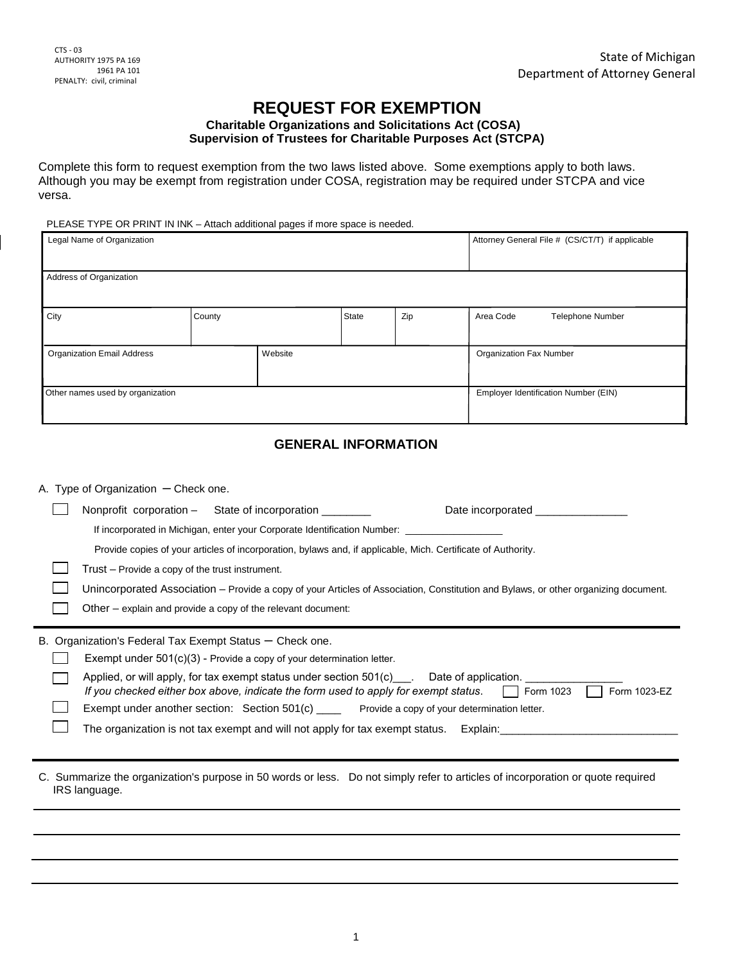# **REQUEST FOR EXEMPTION**

#### **Charitable Organizations and Solicitations Act (COSA) Supervision of Trustees for Charitable Purposes Act (STCPA)**

Complete this form to request exemption from the two laws listed above. Some exemptions apply to both laws. Although you may be exempt from registration under COSA, registration may be required under STCPA and vice versa.

#### PLEASE TYPE OR PRINT IN INK – Attach additional pages if more space is needed.

| Legal Name of Organization        |        |         |       | Attorney General File # (CS/CT/T) if applicable |           |                                      |
|-----------------------------------|--------|---------|-------|-------------------------------------------------|-----------|--------------------------------------|
| Address of Organization           |        |         |       |                                                 |           |                                      |
| City                              | County |         | State | Zip                                             | Area Code | <b>Telephone Number</b>              |
| <b>Organization Email Address</b> |        | Website |       | <b>Organization Fax Number</b>                  |           |                                      |
| Other names used by organization  |        |         |       |                                                 |           | Employer Identification Number (EIN) |

## **GENERAL INFORMATION**

| A. Type of Organization $-$ Check one. |                                                                                                                                     |                                                                                                                                                                |                                                                                                                                                                                                                                                                                                                         |  |  |
|----------------------------------------|-------------------------------------------------------------------------------------------------------------------------------------|----------------------------------------------------------------------------------------------------------------------------------------------------------------|-------------------------------------------------------------------------------------------------------------------------------------------------------------------------------------------------------------------------------------------------------------------------------------------------------------------------|--|--|
|                                        |                                                                                                                                     | Nonprofit corporation - State of incorporation _______                                                                                                         | Date incorporated                                                                                                                                                                                                                                                                                                       |  |  |
|                                        |                                                                                                                                     |                                                                                                                                                                | If incorporated in Michigan, enter your Corporate Identification Number: ______________                                                                                                                                                                                                                                 |  |  |
|                                        |                                                                                                                                     |                                                                                                                                                                | Provide copies of your articles of incorporation, bylaws and, if applicable, Mich. Certificate of Authority.                                                                                                                                                                                                            |  |  |
|                                        | Trust – Provide a copy of the trust instrument.                                                                                     |                                                                                                                                                                |                                                                                                                                                                                                                                                                                                                         |  |  |
|                                        | Unincorporated Association - Provide a copy of your Articles of Association, Constitution and Bylaws, or other organizing document. |                                                                                                                                                                |                                                                                                                                                                                                                                                                                                                         |  |  |
|                                        |                                                                                                                                     | Other – explain and provide a copy of the relevant document:                                                                                                   |                                                                                                                                                                                                                                                                                                                         |  |  |
|                                        | B. Organization's Federal Tax Exempt Status – Check one.                                                                            | Exempt under $501(c)(3)$ - Provide a copy of your determination letter.<br>If you checked either box above, indicate the form used to apply for exempt status. | Applied, or will apply, for tax exempt status under section $501(c)$ ___. Date of application.<br>Form 1023-EZ<br>Form 1023<br>Exempt under another section: Section 501(c) _____ Provide a copy of your determination letter.<br>The organization is not tax exempt and will not apply for tax exempt status. Explain: |  |  |
|                                        | IRS language.                                                                                                                       |                                                                                                                                                                | C. Summarize the organization's purpose in 50 words or less. Do not simply refer to articles of incorporation or quote required                                                                                                                                                                                         |  |  |
|                                        |                                                                                                                                     |                                                                                                                                                                |                                                                                                                                                                                                                                                                                                                         |  |  |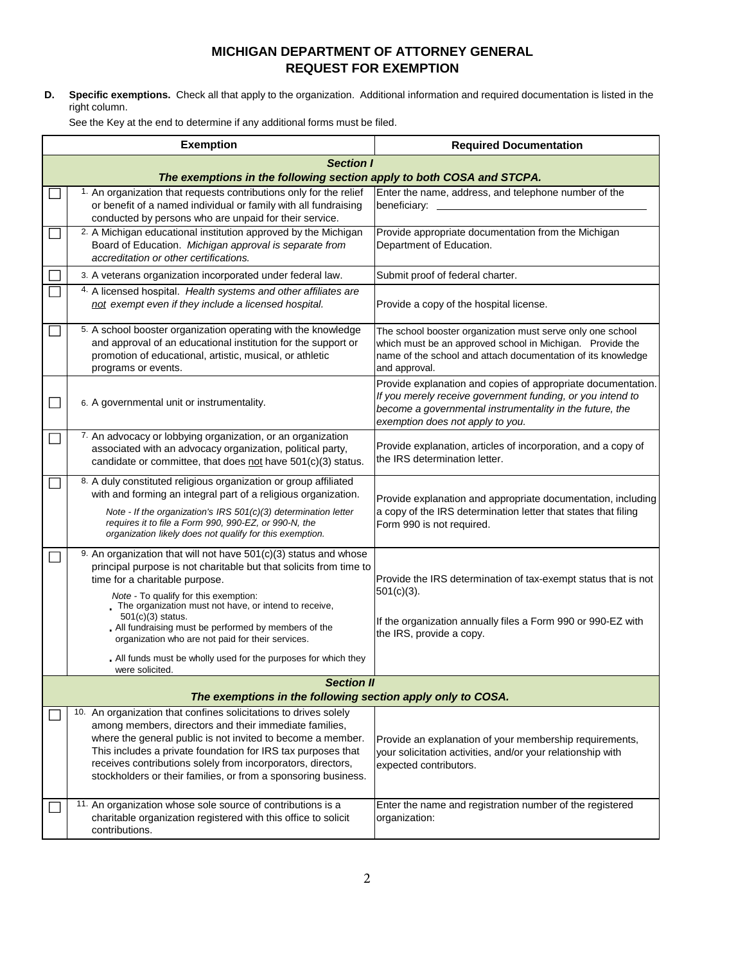## **MICHIGAN DEPARTMENT OF ATTORNEY GENERAL REQUEST FOR EXEMPTION**

**D. Specific exemptions.** Check all that apply to the organization. Additional information and required documentation is listed in the right column.

See the Key at the end to determine if any additional forms must be filed.

| <b>Exemption</b>                                                                                                                                                                                                                                                                                                                                                                                                                                                                                  | <b>Required Documentation</b>                                                                                                                                                                                              |  |  |  |  |
|---------------------------------------------------------------------------------------------------------------------------------------------------------------------------------------------------------------------------------------------------------------------------------------------------------------------------------------------------------------------------------------------------------------------------------------------------------------------------------------------------|----------------------------------------------------------------------------------------------------------------------------------------------------------------------------------------------------------------------------|--|--|--|--|
| <b>Section I</b><br>The exemptions in the following section apply to both COSA and STCPA.                                                                                                                                                                                                                                                                                                                                                                                                         |                                                                                                                                                                                                                            |  |  |  |  |
| 1. An organization that requests contributions only for the relief<br>or benefit of a named individual or family with all fundraising<br>conducted by persons who are unpaid for their service.                                                                                                                                                                                                                                                                                                   | Enter the name, address, and telephone number of the<br>beneficiary:                                                                                                                                                       |  |  |  |  |
| 2. A Michigan educational institution approved by the Michigan<br>Board of Education. Michigan approval is separate from<br>accreditation or other certifications.                                                                                                                                                                                                                                                                                                                                | Provide appropriate documentation from the Michigan<br>Department of Education.                                                                                                                                            |  |  |  |  |
| 3. A veterans organization incorporated under federal law.                                                                                                                                                                                                                                                                                                                                                                                                                                        | Submit proof of federal charter.                                                                                                                                                                                           |  |  |  |  |
| 4. A licensed hospital. Health systems and other affiliates are<br>not exempt even if they include a licensed hospital.                                                                                                                                                                                                                                                                                                                                                                           | Provide a copy of the hospital license.                                                                                                                                                                                    |  |  |  |  |
| 5. A school booster organization operating with the knowledge<br>and approval of an educational institution for the support or<br>promotion of educational, artistic, musical, or athletic<br>programs or events.                                                                                                                                                                                                                                                                                 | The school booster organization must serve only one school<br>which must be an approved school in Michigan. Provide the<br>name of the school and attach documentation of its knowledge<br>and approval.                   |  |  |  |  |
| 6. A governmental unit or instrumentality.                                                                                                                                                                                                                                                                                                                                                                                                                                                        | Provide explanation and copies of appropriate documentation.<br>If you merely receive government funding, or you intend to<br>become a governmental instrumentality in the future, the<br>exemption does not apply to you. |  |  |  |  |
| 7. An advocacy or lobbying organization, or an organization<br>associated with an advocacy organization, political party,<br>candidate or committee, that does not have 501(c)(3) status.                                                                                                                                                                                                                                                                                                         | Provide explanation, articles of incorporation, and a copy of<br>the IRS determination letter.                                                                                                                             |  |  |  |  |
| 8. A duly constituted religious organization or group affiliated<br>with and forming an integral part of a religious organization.<br>Note - If the organization's IRS 501(c)(3) determination letter<br>requires it to file a Form 990, 990-EZ, or 990-N, the<br>organization likely does not qualify for this exemption.                                                                                                                                                                        | Provide explanation and appropriate documentation, including<br>a copy of the IRS determination letter that states that filing<br>Form 990 is not required.                                                                |  |  |  |  |
| 9. An organization that will not have 501(c)(3) status and whose<br>principal purpose is not charitable but that solicits from time to<br>time for a charitable purpose.<br>Note - To qualify for this exemption:<br>The organization must not have, or intend to receive,<br>501(c)(3) status.<br>All fundraising must be performed by members of the<br>organization who are not paid for their services.<br>. All funds must be wholly used for the purposes for which they<br>were solicited. | Provide the IRS determination of tax-exempt status that is not<br>$501(c)(3)$ .<br>If the organization annually files a Form 990 or 990-EZ with<br>the IRS, provide a copy.                                                |  |  |  |  |
| <b>Section II</b>                                                                                                                                                                                                                                                                                                                                                                                                                                                                                 |                                                                                                                                                                                                                            |  |  |  |  |
| The exemptions in the following section apply only to COSA.                                                                                                                                                                                                                                                                                                                                                                                                                                       |                                                                                                                                                                                                                            |  |  |  |  |
| 10. An organization that confines solicitations to drives solely<br>among members, directors and their immediate families,<br>where the general public is not invited to become a member.<br>This includes a private foundation for IRS tax purposes that<br>receives contributions solely from incorporators, directors,<br>stockholders or their families, or from a sponsoring business.                                                                                                       | Provide an explanation of your membership requirements,<br>your solicitation activities, and/or your relationship with<br>expected contributors.                                                                           |  |  |  |  |
| 11. An organization whose sole source of contributions is a<br>charitable organization registered with this office to solicit<br>contributions.                                                                                                                                                                                                                                                                                                                                                   | Enter the name and registration number of the registered<br>organization:                                                                                                                                                  |  |  |  |  |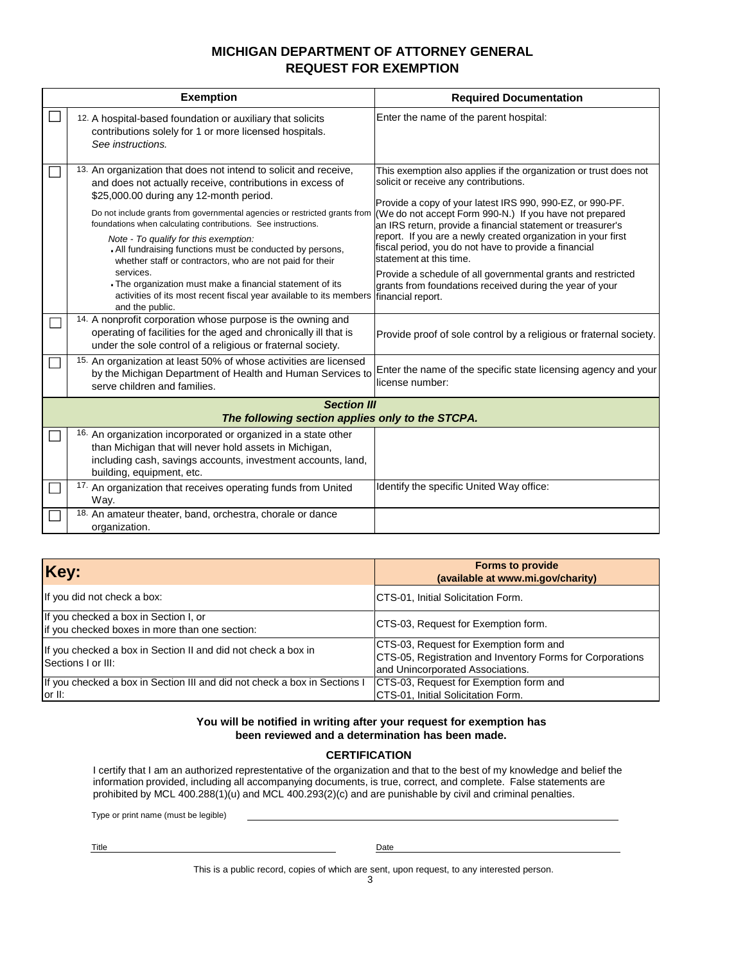## **MICHIGAN DEPARTMENT OF ATTORNEY GENERAL REQUEST FOR EXEMPTION**

| <b>Exemption</b>                                                                                                                                                                                                                                                                                                                                                                                                                                                                                                                                                                                                                                                                                                                                                                                                                                             | <b>Required Documentation</b>                                                                                                                                                                                                                                                                                                                                                                                                                                                                                                                                                                                                                                                 |
|--------------------------------------------------------------------------------------------------------------------------------------------------------------------------------------------------------------------------------------------------------------------------------------------------------------------------------------------------------------------------------------------------------------------------------------------------------------------------------------------------------------------------------------------------------------------------------------------------------------------------------------------------------------------------------------------------------------------------------------------------------------------------------------------------------------------------------------------------------------|-------------------------------------------------------------------------------------------------------------------------------------------------------------------------------------------------------------------------------------------------------------------------------------------------------------------------------------------------------------------------------------------------------------------------------------------------------------------------------------------------------------------------------------------------------------------------------------------------------------------------------------------------------------------------------|
| 12. A hospital-based foundation or auxiliary that solicits<br>contributions solely for 1 or more licensed hospitals.<br>See instructions.                                                                                                                                                                                                                                                                                                                                                                                                                                                                                                                                                                                                                                                                                                                    | Enter the name of the parent hospital:                                                                                                                                                                                                                                                                                                                                                                                                                                                                                                                                                                                                                                        |
| 13. An organization that does not intend to solicit and receive,<br>and does not actually receive, contributions in excess of<br>\$25,000.00 during any 12-month period.<br>Do not include grants from governmental agencies or restricted grants from<br>foundations when calculating contributions. See instructions.<br>Note - To qualify for this exemption:<br>. All fundraising functions must be conducted by persons,<br>whether staff or contractors, who are not paid for their<br>services.<br>The organization must make a financial statement of its<br>activities of its most recent fiscal year available to its members<br>and the public.<br>14. A nonprofit corporation whose purpose is the owning and<br>operating of facilities for the aged and chronically ill that is<br>under the sole control of a religious or fraternal society. | This exemption also applies if the organization or trust does not<br>solicit or receive any contributions.<br>Provide a copy of your latest IRS 990, 990-EZ, or 990-PF.<br>(We do not accept Form 990-N.) If you have not prepared<br>an IRS return, provide a financial statement or treasurer's<br>report. If you are a newly created organization in your first<br>fiscal period, you do not have to provide a financial<br>statement at this time.<br>Provide a schedule of all governmental grants and restricted<br>grants from foundations received during the year of your<br>financial report.<br>Provide proof of sole control by a religious or fraternal society. |
| 15. An organization at least 50% of whose activities are licensed<br>by the Michigan Department of Health and Human Services to<br>serve children and families.                                                                                                                                                                                                                                                                                                                                                                                                                                                                                                                                                                                                                                                                                              | Enter the name of the specific state licensing agency and your<br>license number:                                                                                                                                                                                                                                                                                                                                                                                                                                                                                                                                                                                             |
| <b>Section III</b>                                                                                                                                                                                                                                                                                                                                                                                                                                                                                                                                                                                                                                                                                                                                                                                                                                           |                                                                                                                                                                                                                                                                                                                                                                                                                                                                                                                                                                                                                                                                               |
| The following section applies only to the STCPA.                                                                                                                                                                                                                                                                                                                                                                                                                                                                                                                                                                                                                                                                                                                                                                                                             |                                                                                                                                                                                                                                                                                                                                                                                                                                                                                                                                                                                                                                                                               |
| 16. An organization incorporated or organized in a state other<br>than Michigan that will never hold assets in Michigan,<br>including cash, savings accounts, investment accounts, land,<br>building, equipment, etc.                                                                                                                                                                                                                                                                                                                                                                                                                                                                                                                                                                                                                                        |                                                                                                                                                                                                                                                                                                                                                                                                                                                                                                                                                                                                                                                                               |
| <sup>17</sup> An organization that receives operating funds from United<br>Way.                                                                                                                                                                                                                                                                                                                                                                                                                                                                                                                                                                                                                                                                                                                                                                              | Identify the specific United Way office:                                                                                                                                                                                                                                                                                                                                                                                                                                                                                                                                                                                                                                      |
| 18. An amateur theater, band, orchestra, chorale or dance<br>organization.                                                                                                                                                                                                                                                                                                                                                                                                                                                                                                                                                                                                                                                                                                                                                                                   |                                                                                                                                                                                                                                                                                                                                                                                                                                                                                                                                                                                                                                                                               |

| Key:                                                                                    | <b>Forms to provide</b><br>(available at www.mi.gov/charity)                                                                            |  |  |
|-----------------------------------------------------------------------------------------|-----------------------------------------------------------------------------------------------------------------------------------------|--|--|
| If you did not check a box:                                                             | CTS-01, Initial Solicitation Form.                                                                                                      |  |  |
| If you checked a box in Section I, or<br>if you checked boxes in more than one section: | CTS-03, Request for Exemption form.                                                                                                     |  |  |
| If you checked a box in Section II and did not check a box in<br>Sections I or III:     | CTS-03, Request for Exemption form and<br>CTS-05, Registration and Inventory Forms for Corporations<br>and Unincorporated Associations. |  |  |
| If you checked a box in Section III and did not check a box in Sections I<br>lor II:    | CTS-03, Request for Exemption form and<br>CTS-01, Initial Solicitation Form.                                                            |  |  |

#### **You will be notified in writing after your request for exemption has been reviewed and a determination has been made.**

#### **CERTIFICATION**

I certify that I am an authorized represtentative of the organization and that to the best of my knowledge and belief the information provided, including all accompanying documents, is true, correct, and complete. False statements are prohibited by MCL 400.288(1)(u) and MCL 400.293(2)(c) and are punishable by civil and criminal penalties.

Type or print name (must be legible)

Title Date

This is a public record, copies of which are sent, upon request, to any interested person.